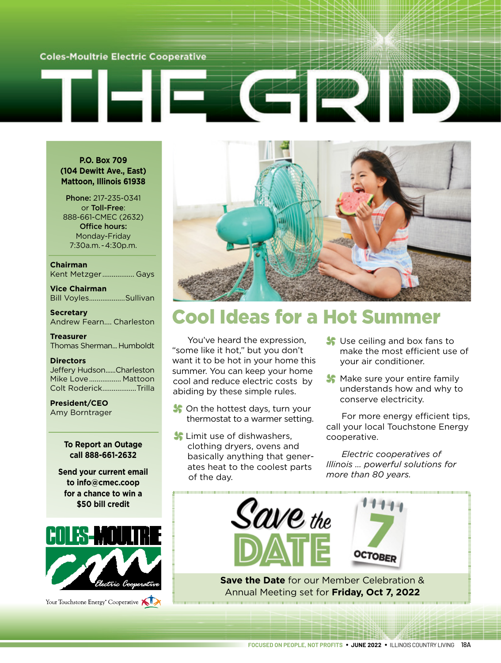### **Coles-Moultrie Electric Cooperative**

### **P.O. Box 709 (104 Dewitt Ave., East) Mattoon, Illinois 61938**

Phone: 217-235-0341 or Toll-Free: 888-661-CMEC (2632) Office hours: Monday-Friday 7:30a.m. - 4:30p.m.

**Chairman** Kent Metzger ................. Gays

**Vice Chairman** Bill Voyles...................Sullivan

**Secretary** Andrew Fearn.... Charleston

**Treasurer** Thomas Sherman... Humboldt

#### **Directors**

Jeffery Hudson......Charleston Mike Love................. Mattoon Colt Roderick..................Trilla

**President/CEO** Amy Borntrager

### **To Report an Outage call 888-661-2632**

**Send your current email to info@cmec.coop for a chance to win a \$50 bill credit**



Your Touchstone Energy<sup>®</sup> Cooperative



# Cool Ideas for a Hot Summer

You've heard the expression, "some like it hot," but you don't want it to be hot in your home this summer. You can keep your home cool and reduce electric costs by abiding by these simple rules.

- S On the hottest days, turn your thermostat to a warmer setting.
- **S** Limit use of dishwashers. clothing dryers, ovens and basically anything that generates heat to the coolest parts of the day.
- Use ceiling and box fans to make the most efficient use of your air conditioner.
- **Make sure your entire family** understands how and why to conserve electricity.

For more energy efficient tips, call your local Touchstone Energy cooperative.

*Electric cooperatives of Illinois … powerful solutions for more than 80 years.*



Annual Meeting set for **Friday, Oct 7, 2022**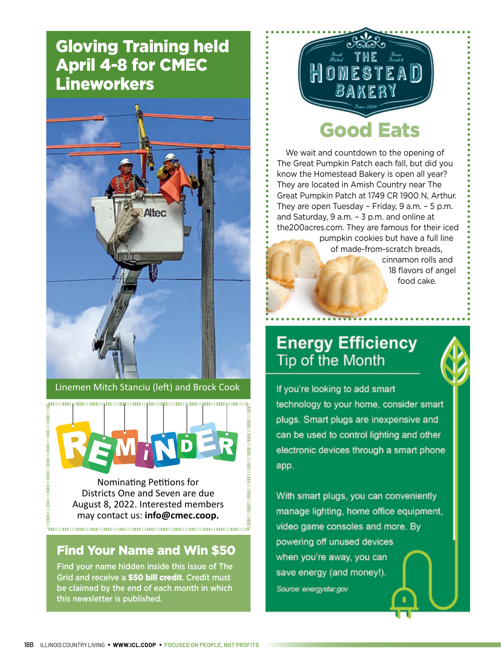## Gloving Training held April 4-8 for CMEC **Lineworkers**



Linemen Mitch Stanciu (left) and Brock Cook



Nominating Petitions for Districts One and Seven are due August 8, 2022. Interested members may contact us: **info@cmec.coop.**

### Find Your Name and Win \$50

 $\bar{\bar{\pi}}$ unnammannammannammannammannammannammannamma $\bar{\bar{\pi}}$ 

Find your name hidden inside this issue of The Grid and receive a \$50 bill credit. Credit must be claimed by the end of each month in which this newsletter is published.



We wait and countdown to the opening of The Great Pumpkin Patch each fall, but did you know the Homestead Bakery is open all year? They are located in Amish Country near The Great Pumpkin Patch at 1749 CR 1900 N, Arthur. They are open Tuesday – Friday, 9 a.m. – 5 p.m. and Saturday, 9 a.m. – 3 p.m. and online at the200acres.com. They are famous for their iced

> pumpkin cookies but have a full line of made-from-scratch breads, cinnamon rolls and 18 flavors of angel food cake.

### **Energy Efficiency** Tip of the Month



If you're looking to add smart technology to your home, consider smart plugs. Smart plugs are inexpensive and can be used to control lighting and other electronic devices through a smart phone app.

With smart plugs, you can conveniently manage lighting, home office equipment, video game consoles and more. By powering off unused devices when you're away, you can save energy (and money!). Source: energystar.gov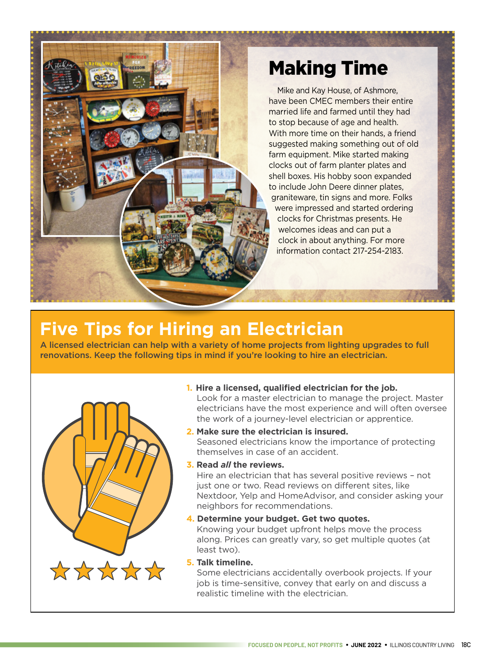

# Making Time

Mike and Kay House, of Ashmore, have been CMEC members their entire married life and farmed until they had to stop because of age and health. With more time on their hands, a friend suggested making something out of old farm equipment. Mike started making clocks out of farm planter plates and shell boxes. His hobby soon expanded to include John Deere dinner plates, graniteware, tin signs and more. Folks were impressed and started ordering clocks for Christmas presents. He welcomes ideas and can put a clock in about anything. For more information contact 217-254-2183.

# **Five Tips for Hiring an Electrician**

A licensed electrician can help with a variety of home projects from lighting upgrades to full renovations. Keep the following tips in mind if you're looking to hire an electrician.



### **1. Hire a licensed, qualified electrician for the job.**

Look for a master electrician to manage the project. Master electricians have the most experience and will often oversee the work of a journey-level electrician or apprentice.

- **2. Make sure the electrician is insured.**  Seasoned electricians know the importance of protecting themselves in case of an accident.
- **3. Read** *all* **the reviews.**

Hire an electrician that has several positive reviews – not just one or two. Read reviews on different sites, like Nextdoor, Yelp and HomeAdvisor, and consider asking your neighbors for recommendations.

### **4. Determine your budget. Get two quotes.**

Knowing your budget upfront helps move the process along. Prices can greatly vary, so get multiple quotes (at least two).

### **5. Talk timeline.**

Some electricians accidentally overbook projects. If your job is time-sensitive, convey that early on and discuss a realistic timeline with the electrician.